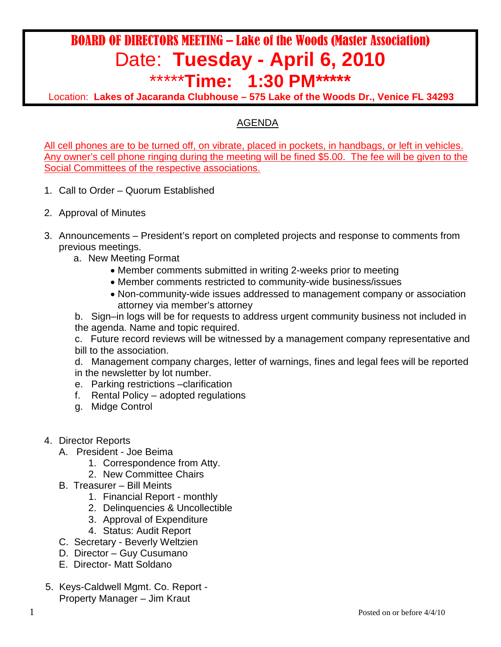## BOARD OF DIRECTORS MEETING – Lake of the Woods (Master Association) Date: **Tuesday - April 6, 2010**

\*\*\*\*\***Time: 1:30 PM\*\*\*\*\*** 

Location: **Lakes of Jacaranda Clubhouse – 575 Lake of the Woods Dr., Venice FL 34293**

## AGENDA

All cell phones are to be turned off, on vibrate, placed in pockets, in handbags, or left in vehicles. Any owner's cell phone ringing during the meeting will be fined \$5.00. The fee will be given to the Social Committees of the respective associations.

- 1. Call to Order Quorum Established
- 2. Approval of Minutes
- 3. Announcements President's report on completed projects and response to comments from previous meetings.
	- a. New Meeting Format
		- Member comments submitted in writing 2-weeks prior to meeting
		- Member comments restricted to community-wide business/issues
		- Non-community-wide issues addressed to management company or association attorney via member's attorney

b. Sign–in logs will be for requests to address urgent community business not included in the agenda. Name and topic required.

c. Future record reviews will be witnessed by a management company representative and bill to the association.

d. Management company charges, letter of warnings, fines and legal fees will be reported in the newsletter by lot number.

- e. Parking restrictions –clarification
- f. Rental Policy adopted regulations
- g. Midge Control
- 4. Director Reports
	- A. President Joe Beima
		- 1. Correspondence from Atty.
		- 2. New Committee Chairs
	- B. Treasurer Bill Meints
		- 1. Financial Report monthly
		- 2. Delinquencies & Uncollectible
		- 3. Approval of Expenditure
		- 4. Status: Audit Report
	- C. Secretary Beverly Weltzien
	- D. Director Guy Cusumano
	- E. Director- Matt Soldano
- 5. Keys-Caldwell Mgmt. Co. Report Property Manager – Jim Kraut